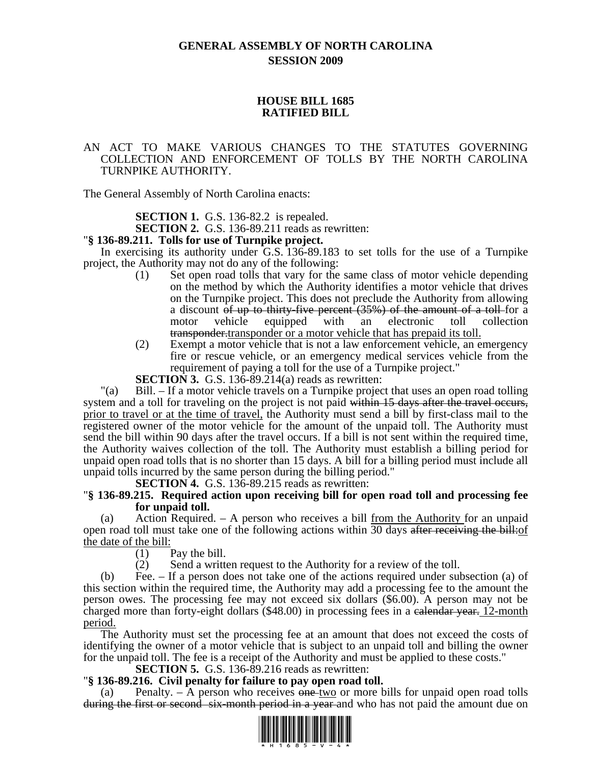# **GENERAL ASSEMBLY OF NORTH CAROLINA SESSION 2009**

# **HOUSE BILL 1685 RATIFIED BILL**

# AN ACT TO MAKE VARIOUS CHANGES TO THE STATUTES GOVERNING COLLECTION AND ENFORCEMENT OF TOLLS BY THE NORTH CAROLINA TURNPIKE AUTHORITY.

The General Assembly of North Carolina enacts:

**SECTION 1.** G.S. 136-82.2 is repealed.

**SECTION 2.** G.S. 136-89.211 reads as rewritten: "**§ 136-89.211. Tolls for use of Turnpike project.** 

In exercising its authority under G.S. 136-89.183 to set tolls for the use of a Turnpike project, the Authority may not do any of the following:

- (1) Set open road tolls that vary for the same class of motor vehicle depending on the method by which the Authority identifies a motor vehicle that drives on the Turnpike project. This does not preclude the Authority from allowing a discount of up to thirty-five percent (35%) of the amount of a toll for a motor vehicle equipped with an electronic toll collection transponder.transponder or a motor vehicle that has prepaid its toll.
- (2) Exempt a motor vehicle that is not a law enforcement vehicle, an emergency fire or rescue vehicle, or an emergency medical services vehicle from the requirement of paying a toll for the use of a Turnpike project."

**SECTION 3.** G.S. 136-89.214(a) reads as rewritten:

"(a) Bill. – If a motor vehicle travels on a Turnpike project that uses an open road tolling system and a toll for traveling on the project is not paid within 15 days after the travel occurs, prior to travel or at the time of travel, the Authority must send a bill by first-class mail to the registered owner of the motor vehicle for the amount of the unpaid toll. The Authority must send the bill within 90 days after the travel occurs. If a bill is not sent within the required time, the Authority waives collection of the toll. The Authority must establish a billing period for unpaid open road tolls that is no shorter than 15 days. A bill for a billing period must include all unpaid tolls incurred by the same person during the billing period."

# **SECTION 4.** G.S. 136-89.215 reads as rewritten: "**§ 136-89.215. Required action upon receiving bill for open road toll and processing fee for unpaid toll.**

(a) Action Required. – A person who receives a bill from the Authority for an unpaid open road toll must take one of the following actions within 30 days after receiving the bill: of the date of the bill:

(1) Pay the bill.

(2) Send a written request to the Authority for a review of the toll.

(b) Fee. – If a person does not take one of the actions required under subsection (a) of this section within the required time, the Authority may add a processing fee to the amount the person owes. The processing fee may not exceed six dollars (\$6.00). A person may not be charged more than forty-eight dollars (\$48.00) in processing fees in a calendar year. 12-month period.

The Authority must set the processing fee at an amount that does not exceed the costs of identifying the owner of a motor vehicle that is subject to an unpaid toll and billing the owner for the unpaid toll. The fee is a receipt of the Authority and must be applied to these costs."

### **SECTION 5.** G.S. 136-89.216 reads as rewritten: "**§ 136-89.216. Civil penalty for failure to pay open road toll.**

(a) Penalty.  $-$  A person who receives one-two or more bills for unpaid open road tolls during the first or second six-month period in a year and who has not paid the amount due on

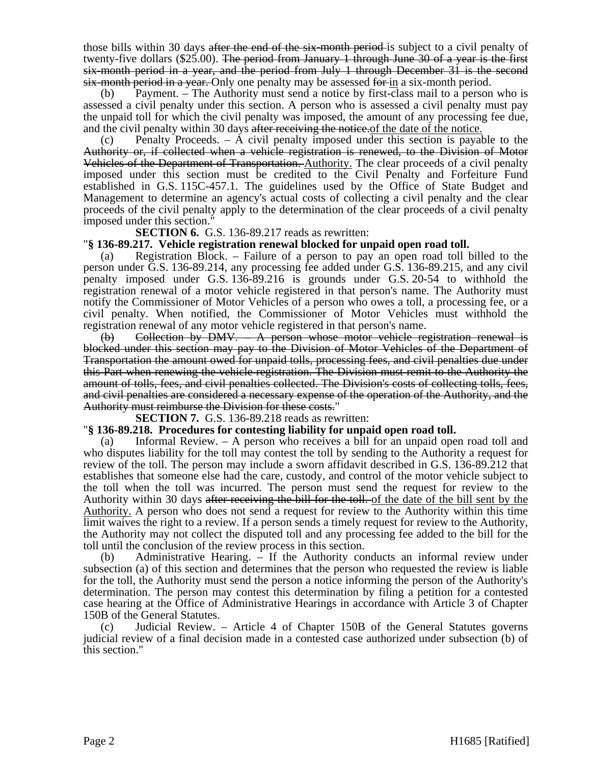those bills within 30 days after the end of the six-month period-is subject to a civil penalty of twenty-five dollars (\$25.00). The period from January 1 through June 30 of a year is the first six-month period in a year, and the period from July 1 through December 31 is the second six-month period in a year. Only one penalty may be assessed for in a six-month period.

(b) Payment. – The Authority must send a notice by first-class mail to a person who is assessed a civil penalty under this section. A person who is assessed a civil penalty must pay the unpaid toll for which the civil penalty was imposed, the amount of any processing fee due, and the civil penalty within 30 days after receiving the notice.

(c) Penalty Proceeds. – A civil penalty imposed under this section is payable to the Authority or, if collected when a vehicle registration is renewed, to the Division of Motor Vehicles of the Department of Transportation. Authority. The clear proceeds of a civil penalty imposed under this section must be credited to the Civil Penalty and Forfeiture Fund established in G.S. 115C-457.1. The guidelines used by the Office of State Budget and Management to determine an agency's actual costs of collecting a civil penalty and the clear proceeds of the civil penalty apply to the determination of the clear proceeds of a civil penalty imposed under this section."

**SECTION 6.** G.S. 136-89.217 reads as rewritten:

# "**§ 136-89.217. Vehicle registration renewal blocked for unpaid open road toll.**

(a) Registration Block. – Failure of a person to pay an open road toll billed to the person under G.S. 136-89.214, any processing fee added under G.S. 136-89.215, and any civil penalty imposed under G.S. 136-89.216 is grounds under G.S. 20-54 to withhold the registration renewal of a motor vehicle registered in that person's name. The Authority must notify the Commissioner of Motor Vehicles of a person who owes a toll, a processing fee, or a civil penalty. When notified, the Commissioner of Motor Vehicles must withhold the registration renewal of any motor vehicle registered in that person's name.

 $(b)$  Collection by DMV.  $\rightarrow$  A person whose motor vehicle registration renewal is blocked under this section may pay to the Division of Motor Vehicles of the Department of Transportation the amount owed for unpaid tolls, processing fees, and civil penalties due under this Part when renewing the vehicle registration. The Division must remit to the Authority the amount of tolls, fees, and civil penalties collected. The Division's costs of collecting tolls, fees, and civil penalties are considered a necessary expense of the operation of the Authority, and the Authority must reimburse the Division for these costs."

**SECTION 7.** G.S. 136-89.218 reads as rewritten:

# "**§ 136-89.218. Procedures for contesting liability for unpaid open road toll.**

(a) Informal Review. – A person who receives a bill for an unpaid open road toll and who disputes liability for the toll may contest the toll by sending to the Authority a request for review of the toll. The person may include a sworn affidavit described in G.S. 136-89.212 that establishes that someone else had the care, custody, and control of the motor vehicle subject to the toll when the toll was incurred. The person must send the request for review to the Authority within 30 days after receiving the bill for the toll. of the date of the bill sent by the Authority. A person who does not send a request for review to the Authority within this time limit waives the right to a review. If a person sends a timely request for review to the Authority, the Authority may not collect the disputed toll and any processing fee added to the bill for the toll until the conclusion of the review process in this section.

(b) Administrative Hearing. – If the Authority conducts an informal review under subsection (a) of this section and determines that the person who requested the review is liable for the toll, the Authority must send the person a notice informing the person of the Authority's determination. The person may contest this determination by filing a petition for a contested case hearing at the Office of Administrative Hearings in accordance with Article 3 of Chapter 150B of the General Statutes.

Judicial Review. – Article 4 of Chapter 150B of the General Statutes governs judicial review of a final decision made in a contested case authorized under subsection (b) of this section."